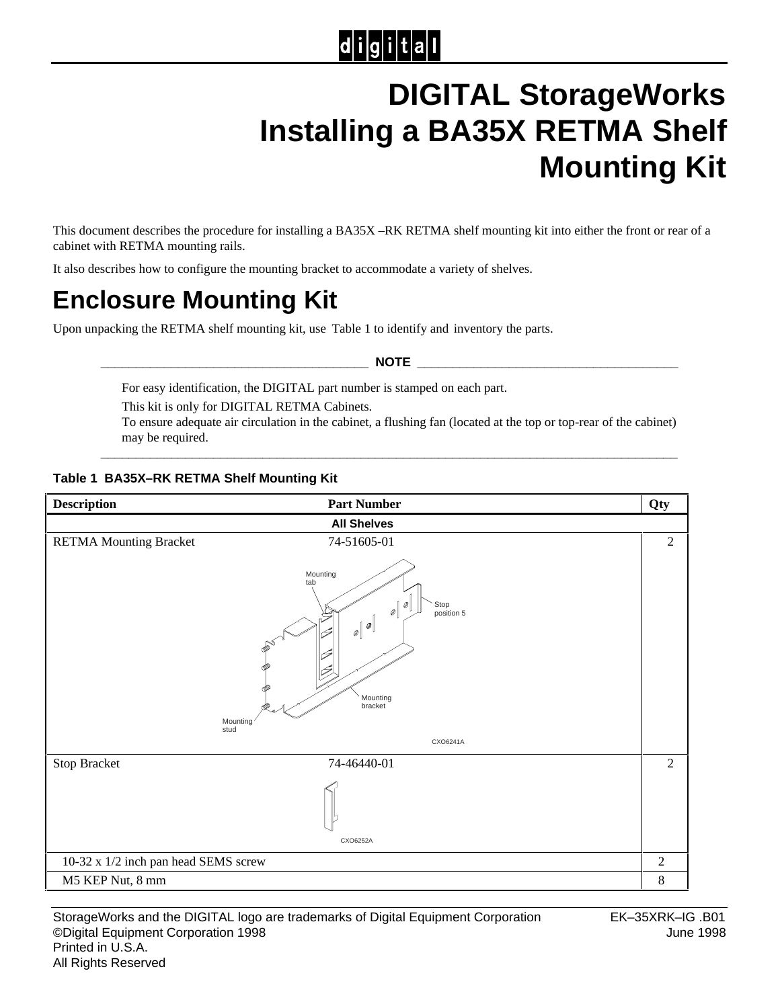# $|d|i|g|i|t|a|l$

# **DIGITAL StorageWorks Installing a BA35X RETMA Shelf Mounting Kit**

This document describes the procedure for installing a BA35X –RK RETMA shelf mounting kit into either the front or rear of a cabinet with RETMA mounting rails.

It also describes how to configure the mounting bracket to accommodate a variety of shelves.

## **Enclosure Mounting Kit**

Upon unpacking the RETMA shelf mounting kit, use Table 1 to identify and inventory the parts.

 $\blacksquare$  NOTE

For easy identification, the DIGITAL part number is stamped on each part.

This kit is only for DIGITAL RETMA Cabinets.

To ensure adequate air circulation in the cabinet, a flushing fan (located at the top or top-rear of the cabinet) may be required.

**\_\_\_\_\_\_\_\_\_\_\_\_\_\_\_\_\_\_\_\_\_\_\_\_\_\_\_\_\_\_\_\_\_\_\_\_\_\_\_\_\_\_\_\_\_\_\_\_\_\_\_\_\_\_\_\_\_\_\_\_\_\_\_\_\_\_\_\_\_\_\_\_\_\_\_\_\_\_\_\_\_\_**

#### **Table 1 BA35X–RK RETMA Shelf Mounting Kit**

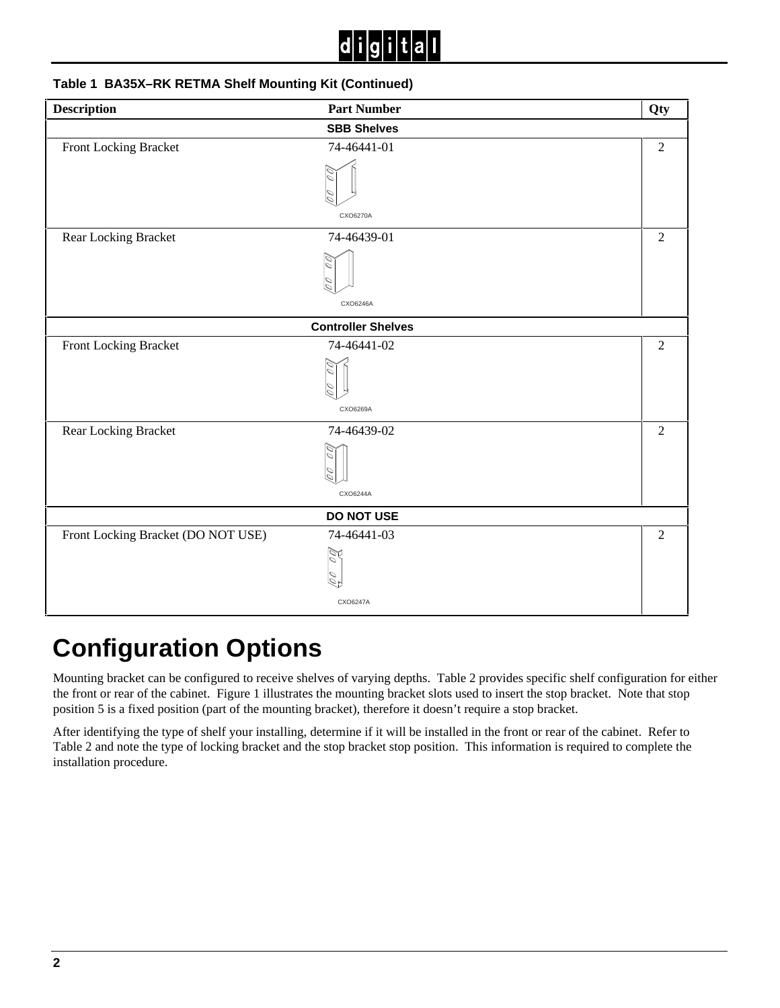

#### **Table 1 BA35X–RK RETMA Shelf Mounting Kit (Continued)**

| <b>Description</b>                 | <b>Part Number</b> | Qty            |  |  |
|------------------------------------|--------------------|----------------|--|--|
|                                    | <b>SBB Shelves</b> |                |  |  |
| Front Locking Bracket              | 74-46441-01        | $\overline{2}$ |  |  |
|                                    |                    |                |  |  |
|                                    |                    |                |  |  |
|                                    |                    |                |  |  |
|                                    | CXO6270A           |                |  |  |
| Rear Locking Bracket               | 74-46439-01        | $\overline{2}$ |  |  |
|                                    |                    |                |  |  |
|                                    |                    |                |  |  |
|                                    | CXO6246A           |                |  |  |
| <b>Controller Shelves</b>          |                    |                |  |  |
| Front Locking Bracket              | 74-46441-02        | $\overline{2}$ |  |  |
|                                    |                    |                |  |  |
|                                    |                    |                |  |  |
|                                    | CXO6269A           |                |  |  |
| Rear Locking Bracket               | 74-46439-02        | $\overline{2}$ |  |  |
|                                    |                    |                |  |  |
|                                    |                    |                |  |  |
|                                    |                    |                |  |  |
|                                    | CXO6244A           |                |  |  |
|                                    | <b>DO NOT USE</b>  |                |  |  |
| Front Locking Bracket (DO NOT USE) | 74-46441-03        | $\overline{2}$ |  |  |
|                                    | $\mathbb{Z}^d$     |                |  |  |
|                                    | O                  |                |  |  |
|                                    | CXO6247A           |                |  |  |
|                                    |                    |                |  |  |

## **Configuration Options**

Mounting bracket can be configured to receive shelves of varying depths. Table 2 provides specific shelf configuration for either the front or rear of the cabinet. Figure 1 illustrates the mounting bracket slots used to insert the stop bracket. Note that stop position 5 is a fixed position (part of the mounting bracket), therefore it doesn't require a stop bracket.

After identifying the type of shelf your installing, determine if it will be installed in the front or rear of the cabinet. Refer to Table 2 and note the type of locking bracket and the stop bracket stop position. This information is required to complete the installation procedure.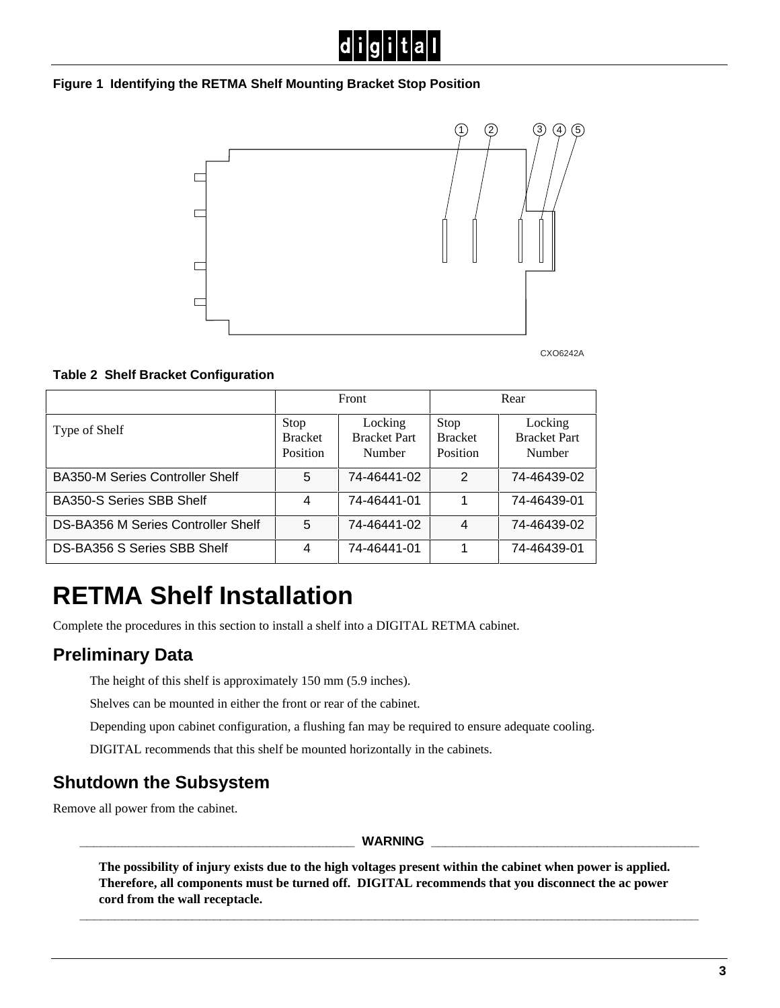#### **Figure 1 Identifying the RETMA Shelf Mounting Bracket Stop Position**



CXO6242A

#### **Table 2 Shelf Bracket Configuration**

|                                        | Front                              |                                          | Rear                               |                                          |
|----------------------------------------|------------------------------------|------------------------------------------|------------------------------------|------------------------------------------|
| Type of Shelf                          | Stop<br><b>Bracket</b><br>Position | Locking<br><b>Bracket Part</b><br>Number | Stop<br><b>Bracket</b><br>Position | Locking<br><b>Bracket Part</b><br>Number |
| <b>BA350-M Series Controller Shelf</b> | 5                                  | 74-46441-02                              | $\mathcal{P}$                      | 74-46439-02                              |
| <b>BA350-S Series SBB Shelf</b>        | 4                                  | 74-46441-01                              |                                    | 74-46439-01                              |
| DS-BA356 M Series Controller Shelf     | 5                                  | 74-46441-02                              | 4                                  | 74-46439-02                              |
| DS-BA356 S Series SBB Shelf            | 4                                  | 74-46441-01                              |                                    | 74-46439-01                              |

## **RETMA Shelf Installation**

Complete the procedures in this section to install a shelf into a DIGITAL RETMA cabinet.

### **Preliminary Data**

The height of this shelf is approximately 150 mm (5.9 inches).

Shelves can be mounted in either the front or rear of the cabinet.

Depending upon cabinet configuration, a flushing fan may be required to ensure adequate cooling.

DIGITAL recommends that this shelf be mounted horizontally in the cabinets.

### **Shutdown the Subsystem**

Remove all power from the cabinet.

**WARNING** 

**The possibility of injury exists due to the high voltages present within the cabinet when power is applied. Therefore, all components must be turned off. DIGITAL recommends that you disconnect the ac power cord from the wall receptacle.**

**\_\_\_\_\_\_\_\_\_\_\_\_\_\_\_\_\_\_\_\_\_\_\_\_\_\_\_\_\_\_\_\_\_\_\_\_\_\_\_\_\_\_\_\_\_\_\_\_\_\_\_\_\_\_\_\_\_\_\_\_\_\_\_\_\_\_\_\_\_\_\_\_\_\_\_\_\_\_\_\_\_\_\_\_\_\_\_\_**